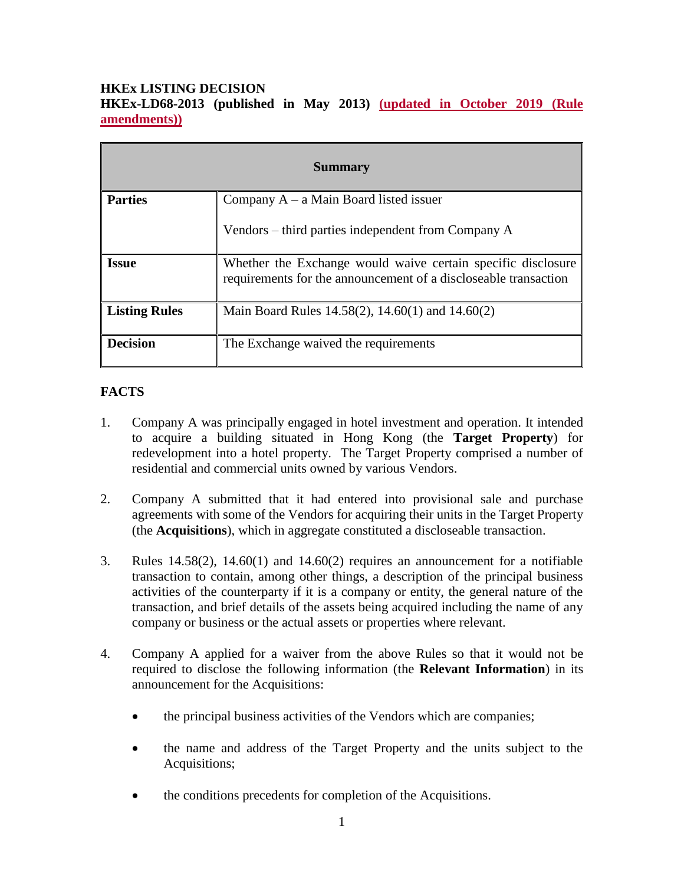## **HKEx LISTING DECISION HKEx-LD68-2013 (published in May 2013) (updated in October 2019 (Rule amendments))**

| <b>Summary</b>       |                                                                                                                                 |
|----------------------|---------------------------------------------------------------------------------------------------------------------------------|
| <b>Parties</b>       | Company $A - a$ Main Board listed issuer                                                                                        |
|                      | Vendors – third parties independent from Company A                                                                              |
| <b>Issue</b>         | Whether the Exchange would waive certain specific disclosure<br>requirements for the announcement of a discloseable transaction |
| <b>Listing Rules</b> | Main Board Rules 14.58(2), 14.60(1) and 14.60(2)                                                                                |
| <b>Decision</b>      | The Exchange waived the requirements                                                                                            |

## **FACTS**

- 1. Company A was principally engaged in hotel investment and operation. It intended to acquire a building situated in Hong Kong (the **Target Property**) for redevelopment into a hotel property. The Target Property comprised a number of residential and commercial units owned by various Vendors.
- 2. Company A submitted that it had entered into provisional sale and purchase agreements with some of the Vendors for acquiring their units in the Target Property (the **Acquisitions**), which in aggregate constituted a discloseable transaction.
- 3. Rules 14.58(2), 14.60(1) and 14.60(2) requires an announcement for a notifiable transaction to contain, among other things, a description of the principal business activities of the counterparty if it is a company or entity, the general nature of the transaction, and brief details of the assets being acquired including the name of any company or business or the actual assets or properties where relevant.
- 4. Company A applied for a waiver from the above Rules so that it would not be required to disclose the following information (the **Relevant Information**) in its announcement for the Acquisitions:
	- the principal business activities of the Vendors which are companies;
	- the name and address of the Target Property and the units subject to the Acquisitions;
	- the conditions precedents for completion of the Acquisitions.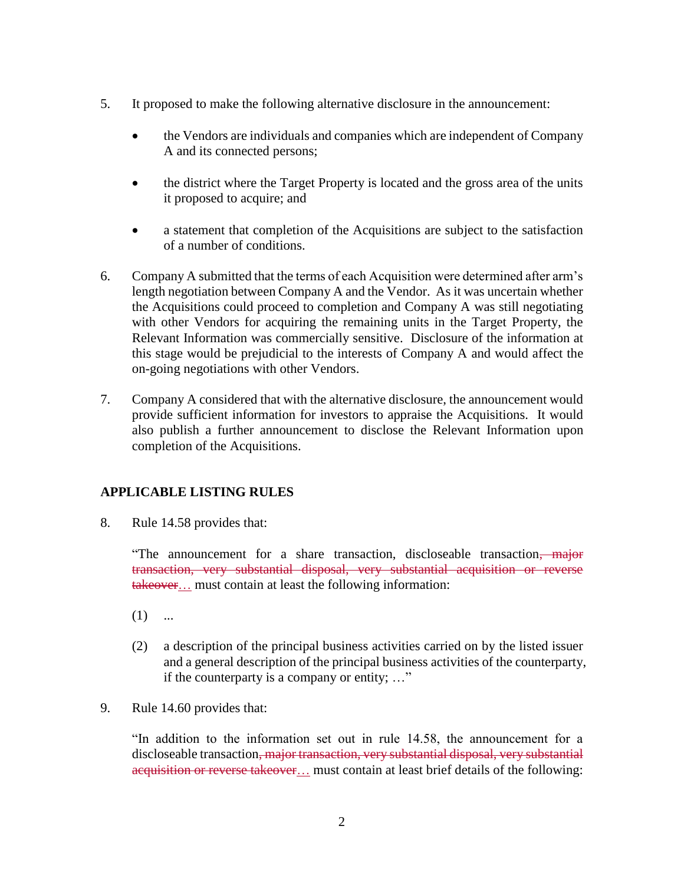- 5. It proposed to make the following alternative disclosure in the announcement:
	- the Vendors are individuals and companies which are independent of Company A and its connected persons;
	- the district where the Target Property is located and the gross area of the units it proposed to acquire; and
	- a statement that completion of the Acquisitions are subject to the satisfaction of a number of conditions.
- 6. Company A submitted that the terms of each Acquisition were determined after arm's length negotiation between Company A and the Vendor. As it was uncertain whether the Acquisitions could proceed to completion and Company A was still negotiating with other Vendors for acquiring the remaining units in the Target Property, the Relevant Information was commercially sensitive. Disclosure of the information at this stage would be prejudicial to the interests of Company A and would affect the on-going negotiations with other Vendors.
- 7. Company A considered that with the alternative disclosure, the announcement would provide sufficient information for investors to appraise the Acquisitions. It would also publish a further announcement to disclose the Relevant Information upon completion of the Acquisitions.

## **APPLICABLE LISTING RULES**

8. Rule 14.58 provides that:

"The announcement for a share transaction, discloseable transaction, major transaction, very substantial disposal, very substantial acquisition or reverse takeover... must contain at least the following information:

- $(1)$  ...
- (2) a description of the principal business activities carried on by the listed issuer and a general description of the principal business activities of the counterparty, if the counterparty is a company or entity; …"
- 9. Rule 14.60 provides that:

"In addition to the information set out in rule 14.58, the announcement for a discloseable transaction, major transaction, very substantial disposal, very substantial acquisition or reverse takeover… must contain at least brief details of the following: